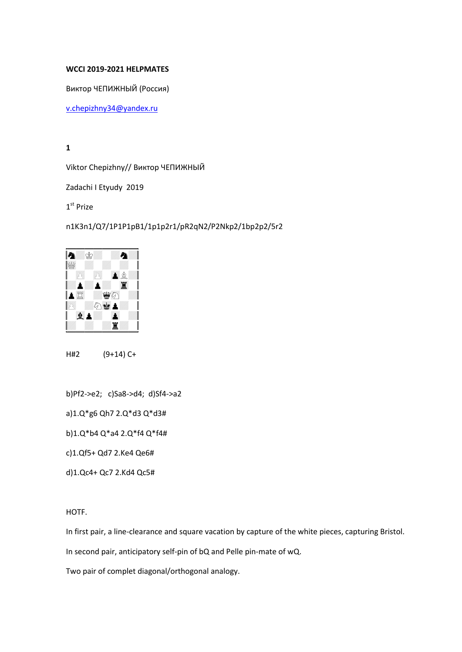## WCCI 2019-2021 HELPMATES

Виктор ЧЕПИЖНЫЙ (Россия)

[v.chepizhny34@yandex.ru](mailto:v.chepizhny34@yandex.ru)

1

Viktor Chepizhny// Виктор ЧЕПИЖНЫЙ

Zadachi I Etyudy 2019

1<sup>st</sup> Prize

n1K3n1/Q7/1P1P1pB1/1p1p2r1/pR2qN2/P2Nkp2/1bp2p2/5r2



H#2 (9+14) C+

b)Pf2->e2; c)Sa8->d4; d)Sf4->a2

a)1.Q\*g6 Qh7 2.Q\*d3 Q\*d3#

b)1.Q\*b4 Q\*a4 2.Q\*f4 Q\*f4#

c)1.Qf5+ Qd7 2.Ke4 Qe6#

d)1.Qc4+ Qc7 2.Kd4 Qc5#

HOTF.

In first pair, a line-clearance and square vacation by capture of the white pieces, capturing Bristol.

In second pair, anticipatory self-pin of bQ and Pelle pin-mate of wQ.

Two pair of complet diagonal/orthogonal analogy.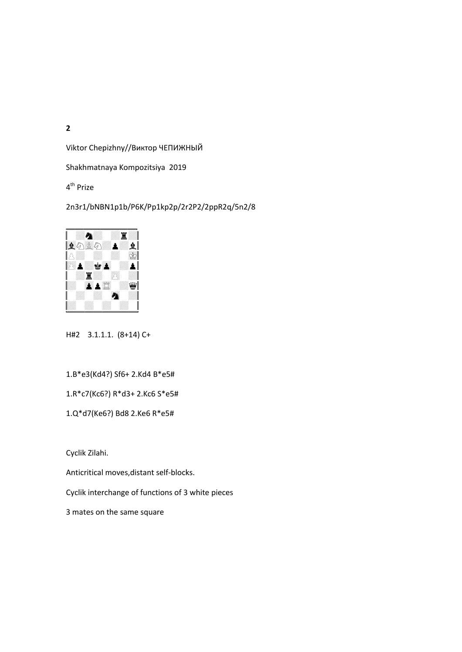Viktor Chepizhny//Виктор ЧЕПИЖНЫЙ

Shakhmatnaya Kompozitsiya 2019

4<sup>th</sup> Prize

2n3r1/bNBN1p1b/P6K/Pp1kp2p/2r2P2/2ppR2q/5n2/8



H#2 3.1.1.1. (8+14) C+

1.B\*e3(Kd4?) Sf6+ 2.Kd4 B\*e5#

1.R\*c7(Kc6?) R\*d3+ 2.Kc6 S\*e5#

1.Q\*d7(Ke6?) Bd8 2.Ke6 R\*e5#

Cyclik Zilahi.

Anticritical moves,distant self-blocks.

Cyclik interchange of functions of 3 white pieces

3 mates on the same square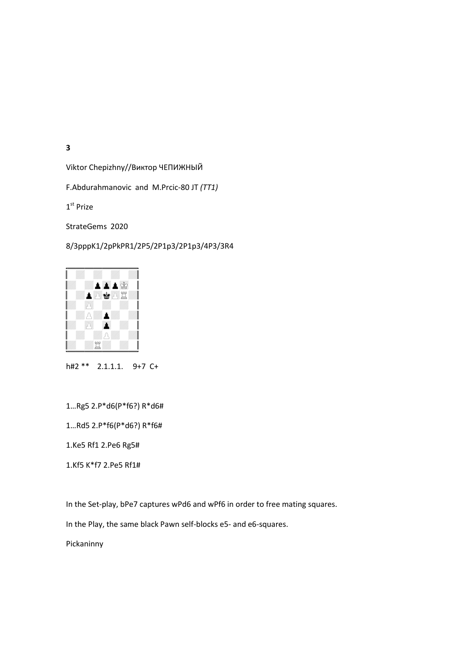Viktor Chepizhny//Виктор ЧЕПИЖНЫЙ

F.Abdurahmanovic and M.Prcic-80 JT *(TT1)*

1<sup>st</sup> Prize

StrateGems 2020

8/3pppK1/2pPkPR1/2P5/2P1p3/2P1p3/4P3/3R4



h#2 \*\* 2.1.1.1. 9+7 C+

1…Rg5 2.P\*d6(P\*f6?) R\*d6#

1…Rd5 2.P\*f6(P\*d6?) R\*f6#

1.Ke5 Rf1 2.Pe6 Rg5#

1.Kf5 K\*f7 2.Pe5 Rf1#

In the Set-play, bPe7 captures wPd6 and wPf6 in order to free mating squares.

In the Play, the same black Pawn self-blocks e5- and e6-squares.

Pickaninny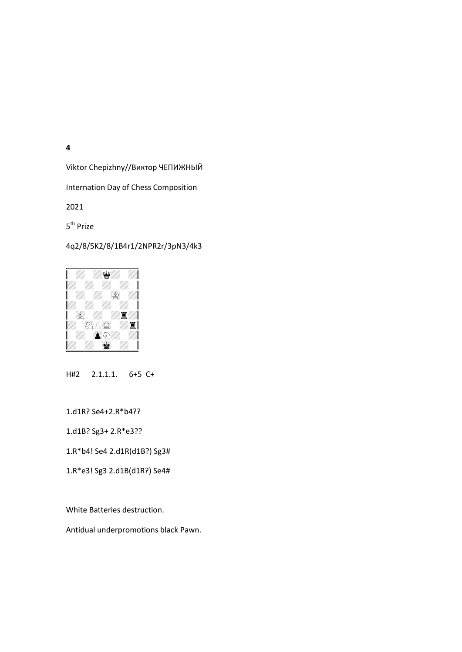Viktor Chepizhny//Виктор ЧЕПИЖНЫЙ

Internation Day of Chess Composition

2021

5<sup>th</sup> Prize

## 4q2/8/5K2/8/1B4r1/2NPR2r/3pN3/4k3



H#2 2.1.1.1. 6+5 C+

1.d1R? Se4+2.R\*b4??

1.d1B? Sg3+ 2.R\*e3??

1.R\*b4! Se4 2.d1R(d1B?) Sg3#

1.R\*e3! Sg3 2.d1B(d1R?) Se4#

White Batteries destruction.

Antidual underpromotions black Pawn.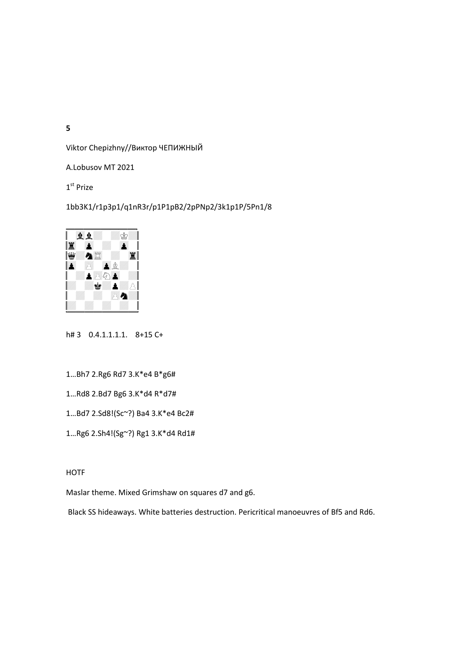Viktor Chepizhny//Виктор ЧЕПИЖНЫЙ

A.Lobusov MT 2021

1<sup>st</sup> Prize

## 1bb3K1/r1p3p1/q1nR3r/p1P1pB2/2pPNp2/3k1p1P/5Pn1/8



h# 3 0.4.1.1.1.1. 8+15 C+

- 1…Bh7 2.Rg6 Rd7 3.K\*e4 B\*g6#
- 1…Rd8 2.Bd7 Bg6 3.K\*d4 R\*d7#
- 1…Bd7 2.Sd8!(Sc~?) Ba4 3.K\*e4 Bc2#
- 1…Rg6 2.Sh4!(Sg~?) Rg1 3.K\*d4 Rd1#

**HOTF** 

Maslar theme. Mixed Grimshaw on squares d7 and g6.

Black SS hideaways. White batteries destruction. Pericritical manoeuvres of Bf5 and Rd6.